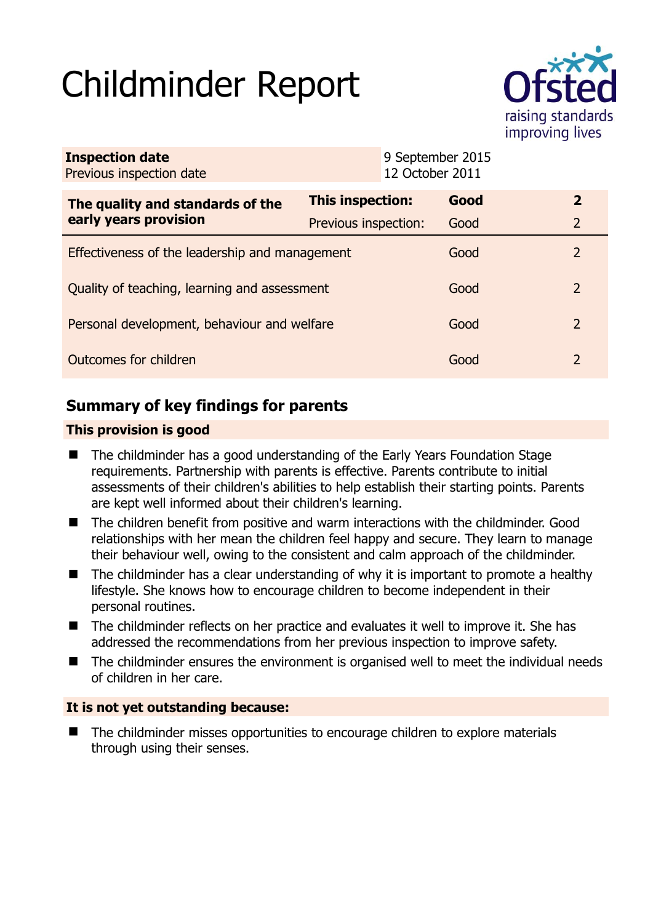# Childminder Report



| <b>Inspection date</b><br>Previous inspection date |                         | 9 September 2015<br>12 October 2011 |      |                |
|----------------------------------------------------|-------------------------|-------------------------------------|------|----------------|
| The quality and standards of the                   | <b>This inspection:</b> |                                     | Good | $\overline{2}$ |
| early years provision                              | Previous inspection:    |                                     | Good | 2              |
| Effectiveness of the leadership and management     |                         |                                     | Good | 2              |
| Quality of teaching, learning and assessment       |                         |                                     | Good | 2              |
| Personal development, behaviour and welfare        |                         |                                     | Good | 2              |
| Outcomes for children                              |                         |                                     | Good | 2              |

# **Summary of key findings for parents**

## **This provision is good**

- The childminder has a good understanding of the Early Years Foundation Stage requirements. Partnership with parents is effective. Parents contribute to initial assessments of their children's abilities to help establish their starting points. Parents are kept well informed about their children's learning.
- The children benefit from positive and warm interactions with the childminder. Good relationships with her mean the children feel happy and secure. They learn to manage their behaviour well, owing to the consistent and calm approach of the childminder.
- $\blacksquare$  The childminder has a clear understanding of why it is important to promote a healthy lifestyle. She knows how to encourage children to become independent in their personal routines.
- The childminder reflects on her practice and evaluates it well to improve it. She has addressed the recommendations from her previous inspection to improve safety.
- The childminder ensures the environment is organised well to meet the individual needs of children in her care.

## **It is not yet outstanding because:**

 The childminder misses opportunities to encourage children to explore materials through using their senses.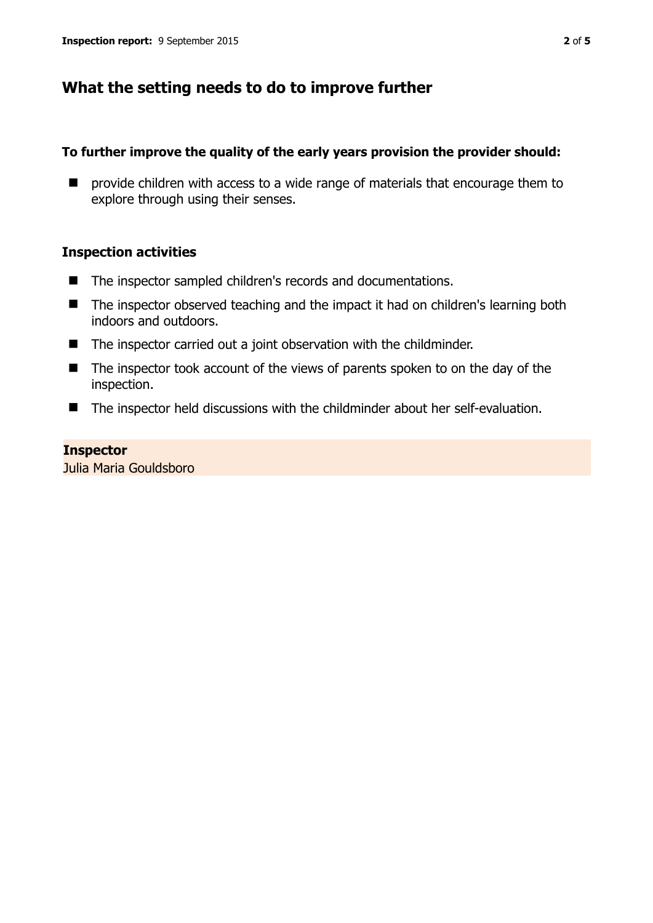## **What the setting needs to do to improve further**

#### **To further improve the quality of the early years provision the provider should:**

**P** provide children with access to a wide range of materials that encourage them to explore through using their senses.

#### **Inspection activities**

- The inspector sampled children's records and documentations.
- The inspector observed teaching and the impact it had on children's learning both indoors and outdoors.
- The inspector carried out a joint observation with the childminder.
- The inspector took account of the views of parents spoken to on the day of the inspection.
- The inspector held discussions with the childminder about her self-evaluation.

#### **Inspector**

Julia Maria Gouldsboro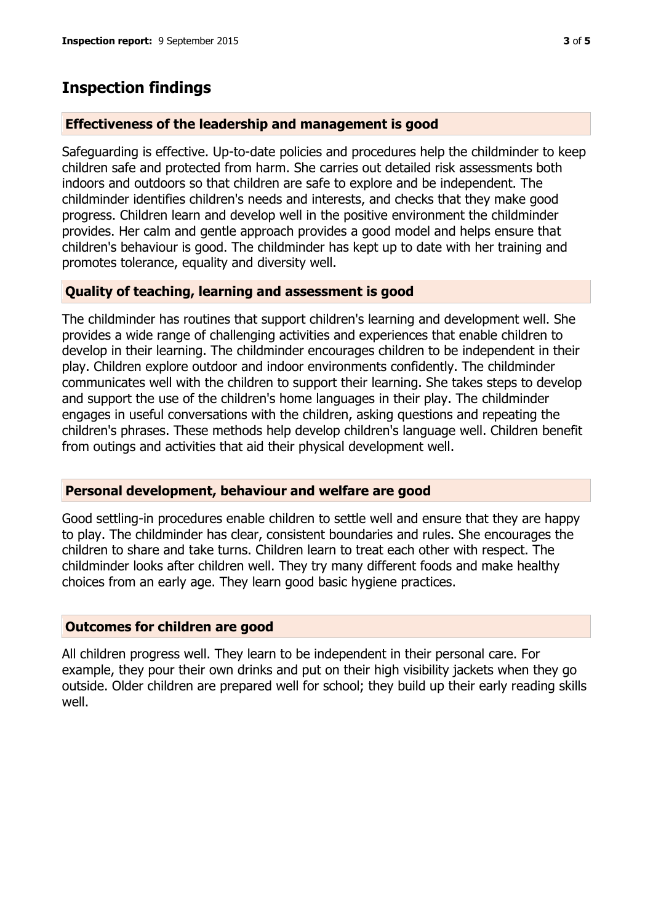# **Inspection findings**

#### **Effectiveness of the leadership and management is good**

Safeguarding is effective. Up-to-date policies and procedures help the childminder to keep children safe and protected from harm. She carries out detailed risk assessments both indoors and outdoors so that children are safe to explore and be independent. The childminder identifies children's needs and interests, and checks that they make good progress. Children learn and develop well in the positive environment the childminder provides. Her calm and gentle approach provides a good model and helps ensure that children's behaviour is good. The childminder has kept up to date with her training and promotes tolerance, equality and diversity well.

## **Quality of teaching, learning and assessment is good**

The childminder has routines that support children's learning and development well. She provides a wide range of challenging activities and experiences that enable children to develop in their learning. The childminder encourages children to be independent in their play. Children explore outdoor and indoor environments confidently. The childminder communicates well with the children to support their learning. She takes steps to develop and support the use of the children's home languages in their play. The childminder engages in useful conversations with the children, asking questions and repeating the children's phrases. These methods help develop children's language well. Children benefit from outings and activities that aid their physical development well.

#### **Personal development, behaviour and welfare are good**

Good settling-in procedures enable children to settle well and ensure that they are happy to play. The childminder has clear, consistent boundaries and rules. She encourages the children to share and take turns. Children learn to treat each other with respect. The childminder looks after children well. They try many different foods and make healthy choices from an early age. They learn good basic hygiene practices.

#### **Outcomes for children are good**

All children progress well. They learn to be independent in their personal care. For example, they pour their own drinks and put on their high visibility jackets when they go outside. Older children are prepared well for school; they build up their early reading skills well.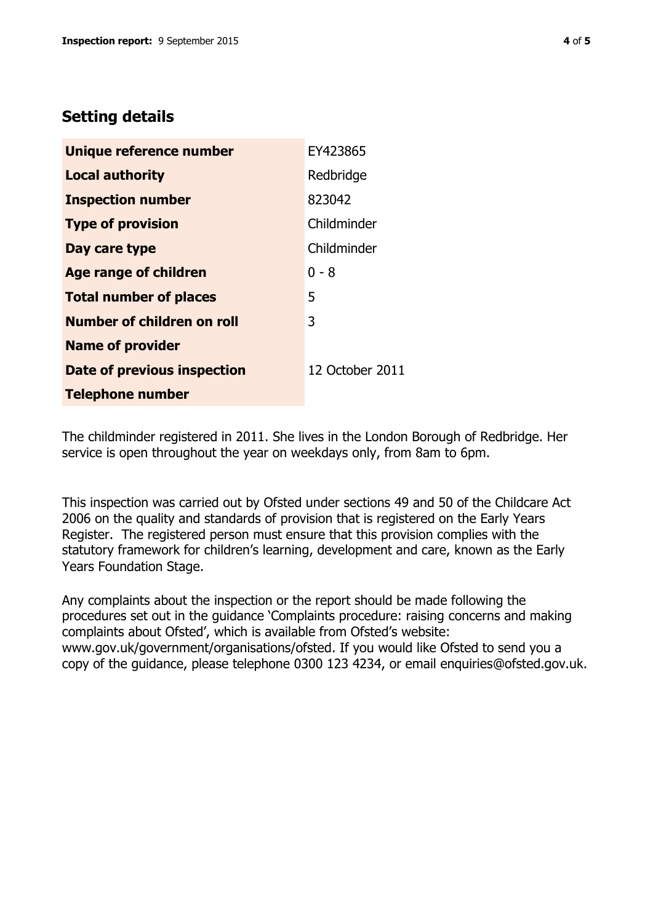## **Setting details**

| Unique reference number       | EY423865        |
|-------------------------------|-----------------|
| <b>Local authority</b>        | Redbridge       |
| <b>Inspection number</b>      | 823042          |
| <b>Type of provision</b>      | Childminder     |
| Day care type                 | Childminder     |
| <b>Age range of children</b>  | $0 - 8$         |
| <b>Total number of places</b> | 5               |
| Number of children on roll    | 3               |
| <b>Name of provider</b>       |                 |
| Date of previous inspection   | 12 October 2011 |
| <b>Telephone number</b>       |                 |

The childminder registered in 2011. She lives in the London Borough of Redbridge. Her service is open throughout the year on weekdays only, from 8am to 6pm.

This inspection was carried out by Ofsted under sections 49 and 50 of the Childcare Act 2006 on the quality and standards of provision that is registered on the Early Years Register. The registered person must ensure that this provision complies with the statutory framework for children's learning, development and care, known as the Early Years Foundation Stage.

Any complaints about the inspection or the report should be made following the procedures set out in the guidance 'Complaints procedure: raising concerns and making complaints about Ofsted', which is available from Ofsted's website: www.gov.uk/government/organisations/ofsted. If you would like Ofsted to send you a copy of the guidance, please telephone 0300 123 4234, or email enquiries@ofsted.gov.uk.